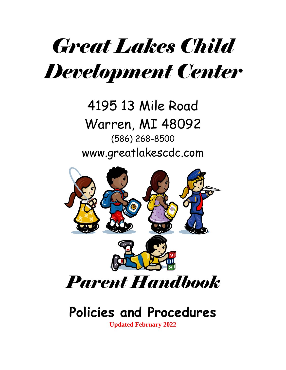# *Great Lakes Child Development Center*

# 4195 13 Mile Road Warren, MI 48092 (586) 268-8500 www.greatlakescdc.com



# **Policies and Procedures**

**Updated February 2022**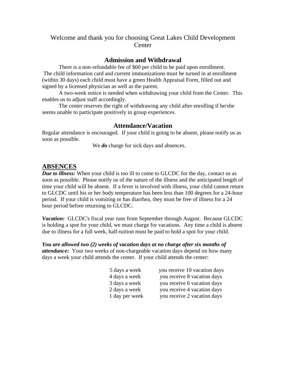#### Welcome and thank you for choosing Great Lakes Child Development **Center**

#### **Admission and Withdrawal**

There is a non-refundable fee of \$60 per child to be paid upon enrollment. The child information card and current immunizations must be turned in at enrollment (within 30 days) each child must have a green Health Appraisal Form, filled out and signed by a licensed physician as well as the parent.

A two-week notice is needed when withdrawing your child from the Center. This enables us to adjust staff accordingly.

The center reserves the right of withdrawing any child after enrolling if he/she seems unable to participate positively in group experiences.

#### **Attendance/Vacation**

Regular attendance is encouraged. If your child is going to be absent, please notify us as soon as possible.

We *do* charge for sick days and absences.

#### **ABSENCES**

*Due to illness:* When your child is too ill to come to GLCDC for the day, contact us as soon as possible. Please notify us of the nature of the illness and the anticipated length of time your child will be absent. If a fever is involved with illness, your child cannot return to GLCDC until his or her body temperature has been less than 100 degrees for a 24-hour period. If your child is vomiting or has diarrhea, they must be free of illness for a 24 hour period before returning to GLCDC.

*Vacation:* GLCDC's fiscal year runs from September through August. Because GLCDC is holding a spot for your child, we must charge for vacations. Any time a child is absent due to illness for a full week, half-tuition must be paid to hold a spot for your child.

*You are allowed two (2) weeks of vacation days at no charge after six months of attendance:* Your two weeks of non-chargeable vacation days depend on how many days a week your child attends the center. If your child attends the center:

| 5 days a week  | you receive 10 vacation days |
|----------------|------------------------------|
| 4 days a week  | you receive 8 vacation days  |
| 3 days a week  | you receive 6 vacation days  |
| 2 days a week  | you receive 4 vacation days  |
| 1 day per week | you receive 2 vacation days  |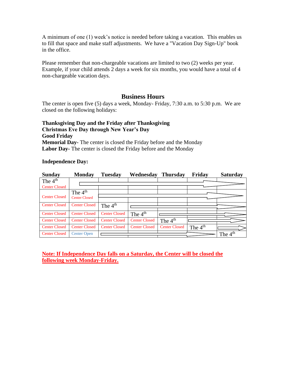A minimum of one (1) week's notice is needed before taking a vacation. This enables us to fill that space and make staff adjustments. We have a "Vacation Day Sign-Up" book in the office.

Please remember that non-chargeable vacations are limited to two (2) weeks per year. Example, if your child attends 2 days a week for six months, you would have a total of 4 non-chargeable vacation days.

#### **Business Hours**

The center is open five (5) days a week, Monday- Friday, 7:30 a.m. to 5:30 p.m. We are closed on the following holidays:

**Thanksgiving Day and the Friday after Thanksgiving Christmas Eve Day through New Year's Day Good Friday Memorial Day-** The center is closed the Friday before and the Monday **Labor Day-** The center is closed the Friday before and the Monday

#### **Independence Day:**

| <b>Sunday</b>        | <b>Monday</b>        | Tuesday              | Wednesday            | <b>Thursday</b>      | Friday    | <b>Saturday</b> |
|----------------------|----------------------|----------------------|----------------------|----------------------|-----------|-----------------|
| The $4th$            |                      |                      |                      |                      |           |                 |
| <b>Center Closed</b> |                      |                      |                      |                      |           |                 |
|                      | The $4th$            |                      |                      |                      |           |                 |
| <b>Center Closed</b> | <b>Center Closed</b> |                      |                      |                      |           |                 |
| <b>Center Closed</b> | <b>Center Closed</b> | The $4th$            |                      |                      |           |                 |
|                      |                      |                      |                      |                      |           |                 |
| <b>Center Closed</b> | <b>Center Closed</b> | <b>Center Closed</b> | The $4th$            |                      |           |                 |
| <b>Center Closed</b> | <b>Center Closed</b> | <b>Center Closed</b> | <b>Center Closed</b> | The $4th$            |           |                 |
| <b>Center Closed</b> | <b>Center Closed</b> | <b>Center Closed</b> | <b>Center Closed</b> | <b>Center Closed</b> | The $4th$ |                 |
| <b>Center Closed</b> | <b>Center Open</b>   |                      |                      |                      |           | The $4th$       |
|                      |                      |                      |                      |                      |           |                 |

**Note: If Independence Day falls on a Saturday, the Center will be closed the following week Monday-Friday.**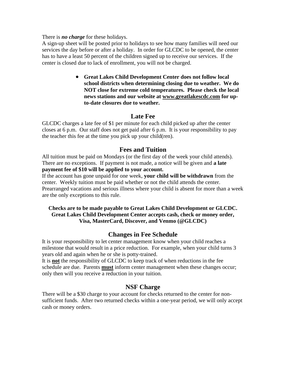There is *no charge* for these holidays.

A sign-up sheet will be posted prior to holidays to see how many families will need our services the day before or after a holiday. In order for GLCDC to be opened, the center has to have a least 50 percent of the children signed up to receive our services. If the center is closed due to lack of enrollment, you will not be charged.

> • **Great Lakes Child Development Center does not follow local school districts when determining closing due to weather. We do NOT close for extreme cold temperatures. Please check the local news stations and our website at www.greatlakescdc.com for upto-date closures due to weather.**

#### **Late Fee**

GLCDC charges a late fee of \$1 per minute for each child picked up after the center closes at 6 p.m. Our staff does not get paid after 6 p.m. It is your responsibility to pay the teacher this fee at the time you pick up your child(ren).

#### **Fees and Tuition**

All tuition must be paid on Mondays (or the first day of the week your child attends). There are no exceptions. If payment is not made, a notice will be given and **a late payment fee of \$10 will be applied to your account.**

If the account has gone unpaid for one week, **your child will be withdrawn** from the center. Weekly tuition must be paid whether or not the child attends the center. Prearranged vacations and serious illness where your child is absent for more than a week are the only exceptions to this rule.

#### **Checks are to be made payable to Great Lakes Child Development or GLCDC. Great Lakes Child Development Center accepts cash, check or money order, Visa, MasterCard, Discover, and Venmo (@GLCDC)**

#### **Changes in Fee Schedule**

It is your responsibility to let center management know when your child reaches a milestone that would result in a price reduction. For example, when your child turns 3 years old and again when he or she is potty-trained.

It is **not** the responsibility of GLCDC to keep track of when reductions in the fee schedule are due. Parents **must** inform center management when these changes occur; only then will you receive a reduction in your tuition.

#### **NSF Charge**

There will be a \$30 charge to your account for checks returned to the center for nonsufficient funds. After two returned checks within a one-year period, we will only accept cash or money orders.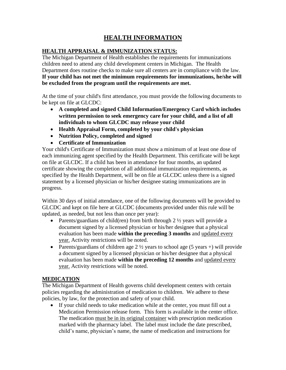### **HEALTH INFORMATION**

#### **HEALTH APPRAISAL & IMMUNIZATION STATUS:**

The Michigan Department of Health establishes the requirements for immunizations children need to attend any child development centers in Michigan. The Health Department does routine checks to make sure all centers are in compliance with the law. **If your child has not met the minimum requirements for immunizations, he/she will be excluded from the program until the requirements are met.**

At the time of your child's first attendance, you must provide the following documents to be kept on file at GLCDC:

- **A completed and signed Child Information/Emergency Card which includes written permission to seek emergency care for your child, and a list of all individuals to whom GLCDC may release your child**
- **Health Appraisal Form, completed by your child's physician**
- **Nutrition Policy, completed and signed**
- **Certificate of Immunization**

Your child's Certificate of Immunization must show a minimum of at least one dose of each immunizing agent specified by the Health Department. This certificate will be kept on file at GLCDC. If a child has been in attendance for four months, an updated certificate showing the completion of all additional immunization requirements, as specified by the Health Department, will be on file at GLCDC unless there is a signed statement by a licensed physician or his/her designee stating immunizations are in progress.

Within 30 days of initial attendance, one of the following documents will be provided to GLCDC and kept on file here at GLCDC (documents provided under this rule will be updated, as needed, but not less than once per year):

- Parents/guardians of child(ren) from birth through  $2 \frac{1}{2}$  years will provide a document signed by a licensed physician or his/her designee that a physical evaluation has been made **within the preceding 3 months** and updated every year. Activity restrictions will be noted.
- Parents/guardians of children age  $2 \frac{1}{2}$  years to school age (5 years +) will provide a document signed by a licensed physician or his/her designee that a physical evaluation has been made **within the preceding 12 months** and updated every year. Activity restrictions will be noted.

#### **MEDICATION**

The Michigan Department of Health governs child development centers with certain policies regarding the administration of medication to children. We adhere to these policies, by law, for the protection and safety of your child.

• If your child needs to take medication while at the center, you must fill out a Medication Permission release form. This form is available in the center office. The medication must be in its original container with prescription medication marked with the pharmacy label. The label must include the date prescribed, child's name, physician's name, the name of medication and instructions for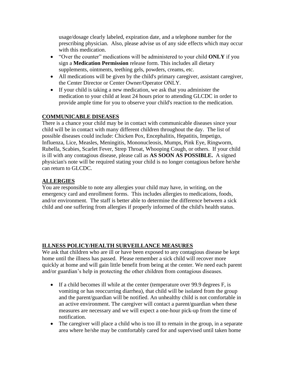usage/dosage clearly labeled, expiration date, and a telephone number for the prescribing physician. Also, please advise us of any side effects which may occur with this medication.

- "Over the counter" medications will be administered to your child **ONLY** if you sign a **Medication Permission** release form. This includes all dietary supplements, ointments, teething gels, powders, creams, etc.
- All medications will be given by the child's primary caregiver, assistant caregiver, the Center Director or Center Owner/Operator ONLY.
- If your child is taking a new medication, we ask that you administer the medication to your child at least 24 hours prior to attending GLCDC in order to provide ample time for you to observe your child's reaction to the medication.

#### **COMMUNICABLE DISEASES**

There is a chance your child may be in contact with communicable diseases since your child will be in contact with many different children throughout the day. The list of possible diseases could include: Chicken Pox, Encephalitis, Hepatitis, Impetigo, Influenza, Lice, Measles, Meningitis, Mononucleosis, Mumps, Pink Eye, Ringworm, Rubella, Scabies, Scarlet Fever, Strep Throat, Whooping Cough, or others. If your child is ill with any contagious disease, please call as **AS SOON AS POSSIBLE.** A signed physician's note will be required stating your child is no longer contagious before he/she can return to GLCDC.

#### **ALLERGIES**

You are responsible to note any allergies your child may have, in writing, on the emergency card and enrollment forms. This includes allergies to medications, foods, and/or environment. The staff is better able to determine the difference between a sick child and one suffering from allergies if properly informed of the child's health status.

#### **ILLNESS POLICY/HEALTH SURVEILLANCE MEASURES**

We ask that children who are ill or have been exposed to any contagious disease be kept home until the illness has passed. Please remember a sick child will recover more quickly at home and will gain little benefit from being at the center. We need each parent and/or guardian's help in protecting the other children from contagious diseases.

- If a child becomes ill while at the center (temperature over 99.9 degrees F, is vomiting or has reoccurring diarrhea), that child will be isolated from the group and the parent/guardian will be notified. An unhealthy child is not comfortable in an active environment. The caregiver will contact a parent/guardian when these measures are necessary and we will expect a one-hour pick-up from the time of notification.
- The caregiver will place a child who is too ill to remain in the group, in a separate area where he/she may be comfortably cared for and supervised until taken home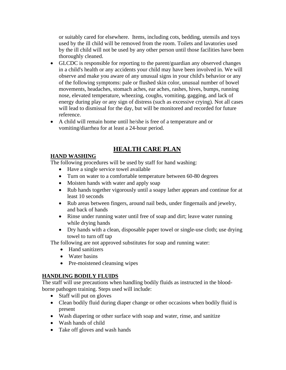or suitably cared for elsewhere. Items, including cots, bedding, utensils and toys used by the ill child will be removed from the room. Toilets and lavatories used by the ill child will not be used by any other person until those facilities have been thoroughly cleaned.

- GLCDC is responsible for reporting to the parent/guardian any observed changes in a child's health or any accidents your child may have been involved in. We will observe and make you aware of any unusual signs in your child's behavior or any of the following symptoms: pale or flushed skin color, unusual number of bowel movements, headaches, stomach aches, ear aches, rashes, hives, bumps, running nose, elevated temperature, wheezing, coughs, vomiting, gagging, and lack of energy during play or any sign of distress (such as excessive crying). Not all cases will lead to dismissal for the day, but will be monitored and recorded for future reference.
- A child will remain home until he/she is free of a temperature and or vomiting/diarrhea for at least a 24-hour period.

### **HEALTH CARE PLAN**

#### **HAND WASHING**

The following procedures will be used by staff for hand washing:

- Have a single service towel available
- Turn on water to a comfortable temperature between 60-80 degrees
- Moisten hands with water and apply soap
- Rub hands together vigorously until a soapy lather appears and continue for at least 10 seconds
- Rub areas between fingers, around nail beds, under fingernails and jewelry, and back of hands
- Rinse under running water until free of soap and dirt; leave water running while drying hands
- Dry hands with a clean, disposable paper towel or single-use cloth; use drying towel to turn off tap

The following are not approved substitutes for soap and running water:

- Hand sanitizers
- Water basins
- Pre-moistened cleansing wipes

#### **HANDLING BODILY FLUIDS**

The staff will use precautions when handling bodily fluids as instructed in the bloodborne pathogen training. Steps used will include:

- Staff will put on gloves
- Clean bodily fluid during diaper change or other occasions when bodily fluid is present
- Wash diapering or other surface with soap and water, rinse, and sanitize
- Wash hands of child
- Take off gloves and wash hands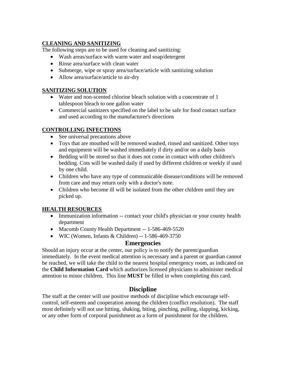#### **CLEANING AND SANITIZING**

The following steps are to be used for cleaning and sanitizing:

- Wash areas/surface with warm water and soap/detergent
- Rinse area/surface with clean water
- Submerge, wipe or spray area/surface/article with sanitizing solution
- Allow area/surface/article to air-dry

#### **SANITIZING SOLUTION**

- Water and non-scented chlorine bleach solution with a concentrate of 1 tablespoon bleach to one gallon water
- Commercial sanitizers specified on the label to be safe for food contact surface and used according to the manufacturer's directions

#### **CONTROLLING INFECTIONS**

- See universal precautions above
- Toys that are mouthed will be removed washed, rinsed and sanitized. Other toys and equipment will be washed immediately if dirty and/or on a daily basis
- Bedding will be stored so that it does not come in contact with other children's bedding. Cots will be washed daily if used by different children or weekly if used by one child.
- Children who have any type of communicable disease/conditions will be removed from care and may return only with a doctor's note.
- Children who become ill will be isolated from the other children until they are picked up.

#### **HEALTH RESOURCES**

- Immunization information -- contact your child's physician or your county health department
- Macomb County Health Department -- 1-586-469-5520
- WIC (Women, Infants & Children) -- 1-586-469-3750

#### **Emergencies**

Should an injury occur at the center, our policy is to notify the parent/guardian immediately. In the event medical attention is necessary and a parent or guardian cannot be reached, we will take the child to the nearest hospital emergency room, as indicated on the **Child Information Card** which authorizes licensed physicians to administer medical attention to minor children. This line **MUST** be filled in when completing this card.

#### **Discipline**

The staff at the center will use positive methods of discipline which encourage selfcontrol, self-esteem and cooperation among the children (conflict resolution). The staff most definitely will not use hitting, shaking, biting, pinching, pulling, slapping, kicking, or any other form of corporal punishment as a form of punishment for the children.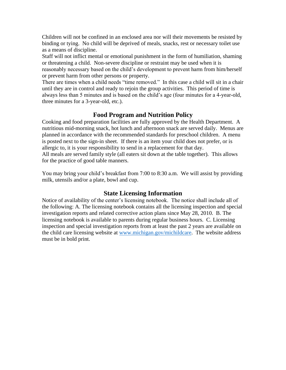Children will not be confined in an enclosed area nor will their movements be resisted by binding or tying. No child will be deprived of meals, snacks, rest or necessary toilet use as a means of discipline.

Staff will not inflict mental or emotional punishment in the form of humiliation, shaming or threatening a child. Non-severe discipline or restraint may be used when it is reasonably necessary based on the child's development to prevent harm from him/herself or prevent harm from other persons or property.

There are times when a child needs "time removed." In this case a child will sit in a chair until they are in control and ready to rejoin the group activities. This period of time is always less than 5 minutes and is based on the child's age (four minutes for a 4-year-old, three minutes for a 3-year-old, etc.).

#### **Food Program and Nutrition Policy**

Cooking and food preparation facilities are fully approved by the Health Department. A nutritious mid-morning snack, hot lunch and afternoon snack are served daily. Menus are planned in accordance with the recommended standards for preschool children. A menu is posted next to the sign-in sheet. If there is an item your child does not prefer, or is allergic to, it is your responsibility to send in a replacement for that day. All meals are served family style (all eaters sit down at the table together). This allows for the practice of good table manners.

You may bring your child's breakfast from 7:00 to 8:30 a.m. We will assist by providing milk, utensils and/or a plate, bowl and cup.

#### **State Licensing Information**

Notice of availability of the center's licensing notebook. The notice shall include all of the following: A. The licensing notebook contains all the licensing inspection and special investigation reports and related corrective action plans since May 28, 2010. B. The licensing notebook is available to parents during regular business hours. C. Licensing inspection and special investigation reports from at least the past 2 years are available on the child care licensing website at [www.michigan.gov/michildcare.](http://www.michigan.gov/michildcare) The website address must be in bold print.